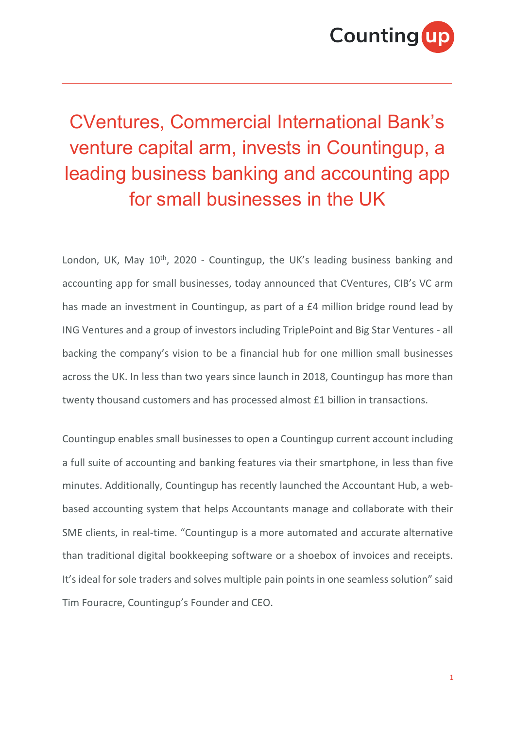

## CVentures, Commercial International Bank's venture capital arm, invests in Countingup, a leading business banking and accounting app for small businesses in the UK

London, UK, May 10<sup>th</sup>, 2020 - Countingup, the UK's leading business banking and accounting app for small businesses, today announced that CVentures, CIB's VC arm has made an investment in Countingup, as part of a £4 million bridge round lead by ING Ventures and a group of investors including TriplePoint and Big Star Ventures - all backing the company's vision to be a financial hub for one million small businesses across the UK. In less than two years since launch in 2018, Countingup has more than twenty thousand customers and has processed almost £1 billion in transactions.

Countingup enables small businesses to open a Countingup current account including a full suite of accounting and banking features via their smartphone, in less than five minutes. Additionally, Countingup has recently launched the Accountant Hub, a webbased accounting system that helps Accountants manage and collaborate with their SME clients, in real-time. "Countingup is a more automated and accurate alternative than traditional digital bookkeeping software or a shoebox of invoices and receipts. It's ideal for sole traders and solves multiple pain points in one seamless solution" said Tim Fouracre, Countingup's Founder and CEO.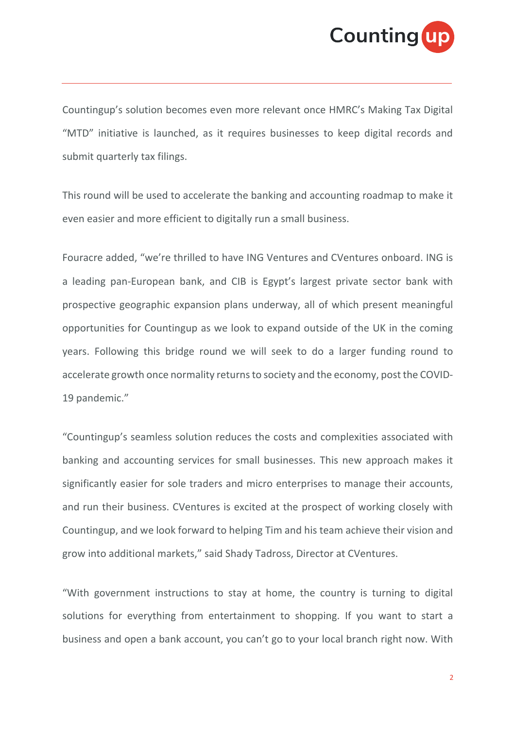

Countingup's solution becomes even more relevant once HMRC's Making Tax Digital "MTD" initiative is launched, as it requires businesses to keep digital records and submit quarterly tax filings.

This round will be used to accelerate the banking and accounting roadmap to make it even easier and more efficient to digitally run a small business.

Fouracre added, "we're thrilled to have ING Ventures and CVentures onboard. ING is a leading pan-European bank, and CIB is Egypt's largest private sector bank with prospective geographic expansion plans underway, all of which present meaningful opportunities for Countingup as we look to expand outside of the UK in the coming years. Following this bridge round we will seek to do a larger funding round to accelerate growth once normality returns to society and the economy, post the COVID-19 pandemic."

"Countingup's seamless solution reduces the costs and complexities associated with banking and accounting services for small businesses. This new approach makes it significantly easier for sole traders and micro enterprises to manage their accounts, and run their business. CVentures is excited at the prospect of working closely with Countingup, and we look forward to helping Tim and his team achieve their vision and grow into additional markets," said Shady Tadross, Director at CVentures.

"With government instructions to stay at home, the country is turning to digital solutions for everything from entertainment to shopping. If you want to start a business and open a bank account, you can't go to your local branch right now. With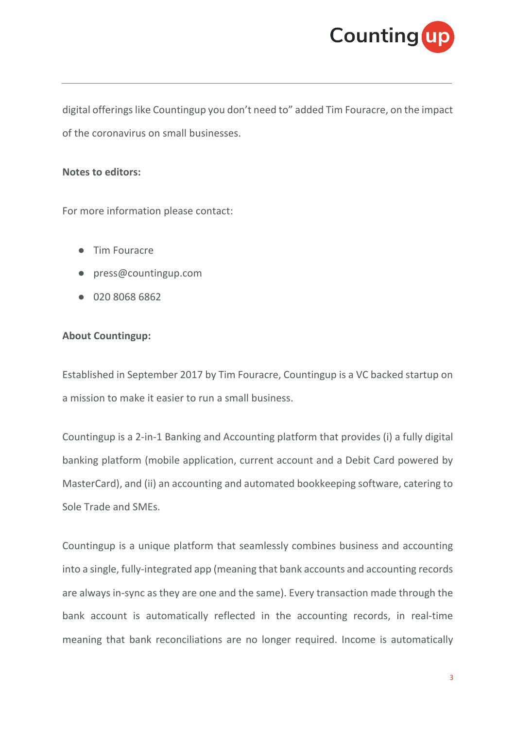

digital offerings like Countingup you don't need to" added Tim Fouracre, on the impact of the coronavirus on small businesses.

## **Notes to editors:**

For more information please contact:

- Tim Fouracre
- press@countingup.com
- 020 8068 6862

## **About Countingup:**

Established in September 2017 by Tim Fouracre, Countingup is a VC backed startup on a mission to make it easier to run a small business.

Countingup is a 2-in-1 Banking and Accounting platform that provides (i) a fully digital banking platform (mobile application, current account and a Debit Card powered by MasterCard), and (ii) an accounting and automated bookkeeping software, catering to Sole Trade and SMEs.

Countingup is a unique platform that seamlessly combines business and accounting into a single, fully-integrated app (meaning that bank accounts and accounting records are always in-sync as they are one and the same). Every transaction made through the bank account is automatically reflected in the accounting records, in real-time meaning that bank reconciliations are no longer required. Income is automatically